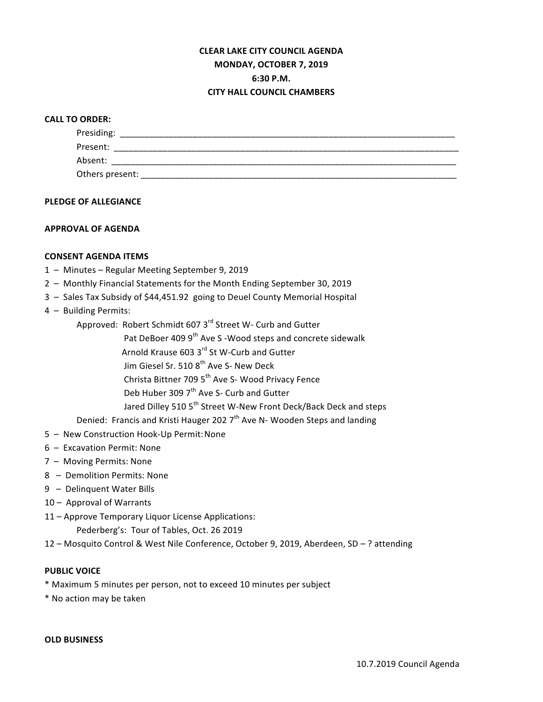# **CLEAR LAKE CITY COUNCIL AGENDA MONDAY, OCTOBER 7, 2019 6:30 P.M. CITY HALL COUNCIL CHAMBERS**

## **CALL TO ORDER:**

| Presiding:      |  |  |
|-----------------|--|--|
| Present:        |  |  |
| Absent:         |  |  |
| Others present: |  |  |

#### **PLEDGE OF ALLEGIANCE**

## **APPROVAL OF AGENDA**

## **CONSENT AGENDA ITEMS**

- 1 Minutes Regular Meeting September 9, 2019
- 2 Monthly Financial Statements for the Month Ending September 30, 2019
- 3 Sales Tax Subsidy of \$44,451.92 going to Deuel County Memorial Hospital
- 4 Building Permits:

Approved: Robert Schmidt 607 3<sup>rd</sup> Street W- Curb and Gutter

Pat DeBoer 409 9<sup>th</sup> Ave S -Wood steps and concrete sidewalk

Arnold Krause 603 3<sup>rd</sup> St W-Curb and Gutter

Jim Giesel Sr. 510 8<sup>th</sup> Ave S- New Deck

Christa Bittner 709 5<sup>th</sup> Ave S- Wood Privacy Fence

Deb Huber 309 7<sup>th</sup> Ave S- Curb and Gutter

Jared Dilley 510 5<sup>th</sup> Street W-New Front Deck/Back Deck and steps

Denied: Francis and Kristi Hauger 202  $7<sup>th</sup>$  Ave N-Wooden Steps and landing

- 5 New Construction Hook-Up Permit: None
- $6 -$  Excavation Permit: None
- 7 Moving Permits: None
- 8 Demolition Permits: None
- 9 Delinquent Water Bills
- 10 Approval of Warrants
- 11 Approve Temporary Liquor License Applications:

Pederberg's: Tour of Tables, Oct. 26 2019

12 – Mosquito Control & West Nile Conference, October 9, 2019, Aberdeen, SD – ? attending

## **PUBLIC VOICE**

- \* Maximum 5 minutes per person, not to exceed 10 minutes per subject
- \* No action may be taken

## **OLD BUSINESS**